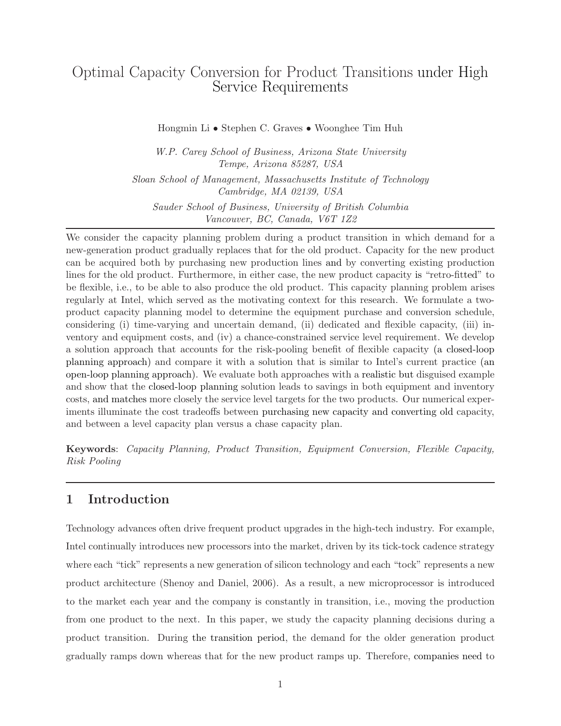# Optimal Capacity Conversion for Product Transitions under High Service Requirements

Hongmin Li • Stephen C. Graves • Woonghee Tim Huh

W.P. Carey School of Business, Arizona State University Tempe, Arizona 85287, USA Sloan School of Management, Massachusetts Institute of Technology Cambridge, MA 02139, USA Sauder School of Business, University of British Columbia Vancouver, BC, Canada, V6T 1Z2

We consider the capacity planning problem during a product transition in which demand for a new-generation product gradually replaces that for the old product. Capacity for the new product can be acquired both by purchasing new production lines and by converting existing production lines for the old product. Furthermore, in either case, the new product capacity is "retro-fitted" to be flexible, i.e., to be able to also produce the old product. This capacity planning problem arises regularly at Intel, which served as the motivating context for this research. We formulate a twoproduct capacity planning model to determine the equipment purchase and conversion schedule, considering (i) time-varying and uncertain demand, (ii) dedicated and flexible capacity, (iii) inventory and equipment costs, and (iv) a chance-constrained service level requirement. We develop a solution approach that accounts for the risk-pooling benefit of flexible capacity (a closed-loop planning approach) and compare it with a solution that is similar to Intel's current practice (an open-loop planning approach). We evaluate both approaches with a realistic but disguised example and show that the closed-loop planning solution leads to savings in both equipment and inventory costs, and matches more closely the service level targets for the two products. Our numerical experiments illuminate the cost tradeoffs between purchasing new capacity and converting old capacity, and between a level capacity plan versus a chase capacity plan.

Keywords: Capacity Planning, Product Transition, Equipment Conversion, Flexible Capacity, Risk Pooling

# 1 Introduction

Technology advances often drive frequent product upgrades in the high-tech industry. For example, Intel continually introduces new processors into the market, driven by its tick-tock cadence strategy where each "tick" represents a new generation of silicon technology and each "tock" represents a new product architecture (Shenoy and Daniel, 2006). As a result, a new microprocessor is introduced to the market each year and the company is constantly in transition, i.e., moving the production from one product to the next. In this paper, we study the capacity planning decisions during a product transition. During the transition period, the demand for the older generation product gradually ramps down whereas that for the new product ramps up. Therefore, companies need to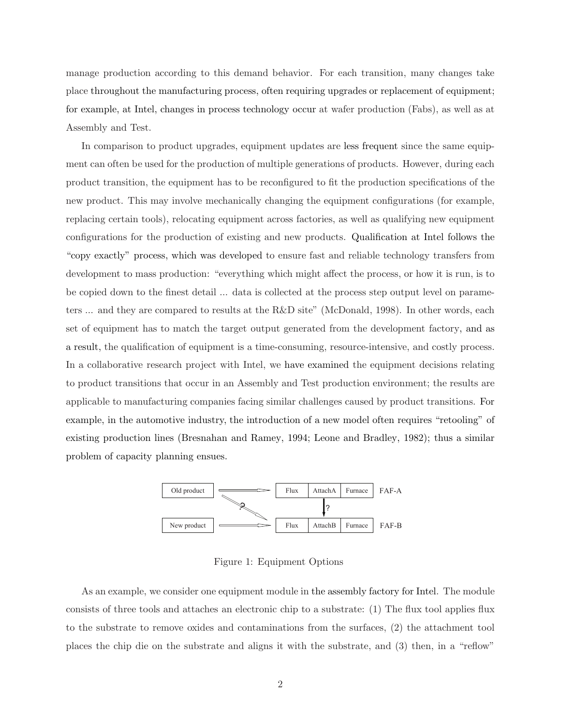manage production according to this demand behavior. For each transition, many changes take place throughout the manufacturing process, often requiring upgrades or replacement of equipment; for example, at Intel, changes in process technology occur at wafer production (Fabs), as well as at Assembly and Test.

In comparison to product upgrades, equipment updates are less frequent since the same equipment can often be used for the production of multiple generations of products. However, during each product transition, the equipment has to be reconfigured to fit the production specifications of the new product. This may involve mechanically changing the equipment configurations (for example, replacing certain tools), relocating equipment across factories, as well as qualifying new equipment configurations for the production of existing and new products. Qualification at Intel follows the "copy exactly" process, which was developed to ensure fast and reliable technology transfers from development to mass production: "everything which might affect the process, or how it is run, is to be copied down to the finest detail ... data is collected at the process step output level on parameters ... and they are compared to results at the R&D site" (McDonald, 1998). In other words, each set of equipment has to match the target output generated from the development factory, and as a result, the qualification of equipment is a time-consuming, resource-intensive, and costly process. In a collaborative research project with Intel, we have examined the equipment decisions relating to product transitions that occur in an Assembly and Test production environment; the results are applicable to manufacturing companies facing similar challenges caused by product transitions. For example, in the automotive industry, the introduction of a new model often requires "retooling" of existing production lines (Bresnahan and Ramey, 1994; Leone and Bradley, 1982); thus a similar problem of capacity planning ensues.



Figure 1: Equipment Options

As an example, we consider one equipment module in the assembly factory for Intel. The module consists of three tools and attaches an electronic chip to a substrate: (1) The flux tool applies flux to the substrate to remove oxides and contaminations from the surfaces, (2) the attachment tool places the chip die on the substrate and aligns it with the substrate, and (3) then, in a "reflow"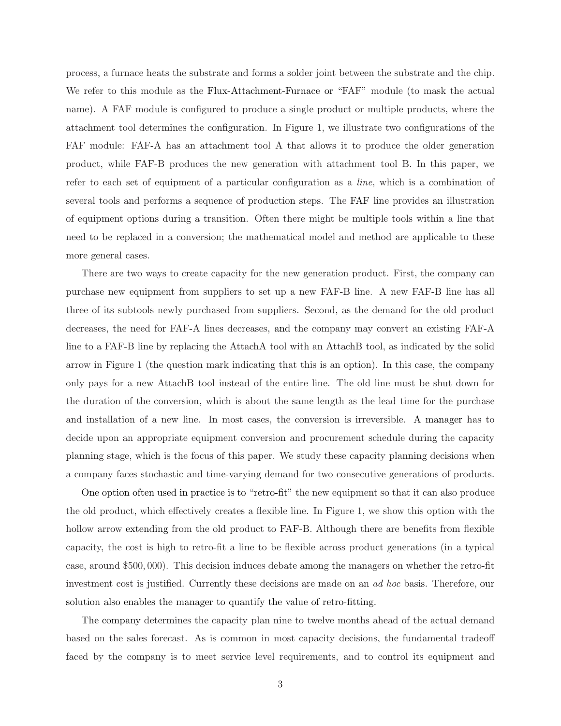process, a furnace heats the substrate and forms a solder joint between the substrate and the chip. We refer to this module as the Flux-Attachment-Furnace or "FAF" module (to mask the actual name). A FAF module is configured to produce a single product or multiple products, where the attachment tool determines the configuration. In Figure 1, we illustrate two configurations of the FAF module: FAF-A has an attachment tool A that allows it to produce the older generation product, while FAF-B produces the new generation with attachment tool B. In this paper, we refer to each set of equipment of a particular configuration as a line, which is a combination of several tools and performs a sequence of production steps. The FAF line provides an illustration of equipment options during a transition. Often there might be multiple tools within a line that need to be replaced in a conversion; the mathematical model and method are applicable to these more general cases.

There are two ways to create capacity for the new generation product. First, the company can purchase new equipment from suppliers to set up a new FAF-B line. A new FAF-B line has all three of its subtools newly purchased from suppliers. Second, as the demand for the old product decreases, the need for FAF-A lines decreases, and the company may convert an existing FAF-A line to a FAF-B line by replacing the AttachA tool with an AttachB tool, as indicated by the solid arrow in Figure 1 (the question mark indicating that this is an option). In this case, the company only pays for a new AttachB tool instead of the entire line. The old line must be shut down for the duration of the conversion, which is about the same length as the lead time for the purchase and installation of a new line. In most cases, the conversion is irreversible. A manager has to decide upon an appropriate equipment conversion and procurement schedule during the capacity planning stage, which is the focus of this paper. We study these capacity planning decisions when a company faces stochastic and time-varying demand for two consecutive generations of products.

One option often used in practice is to "retro-fit" the new equipment so that it can also produce the old product, which effectively creates a flexible line. In Figure 1, we show this option with the hollow arrow extending from the old product to FAF-B. Although there are benefits from flexible capacity, the cost is high to retro-fit a line to be flexible across product generations (in a typical case, around \$500, 000). This decision induces debate among the managers on whether the retro-fit investment cost is justified. Currently these decisions are made on an *ad hoc* basis. Therefore, our solution also enables the manager to quantify the value of retro-fitting.

The company determines the capacity plan nine to twelve months ahead of the actual demand based on the sales forecast. As is common in most capacity decisions, the fundamental tradeoff faced by the company is to meet service level requirements, and to control its equipment and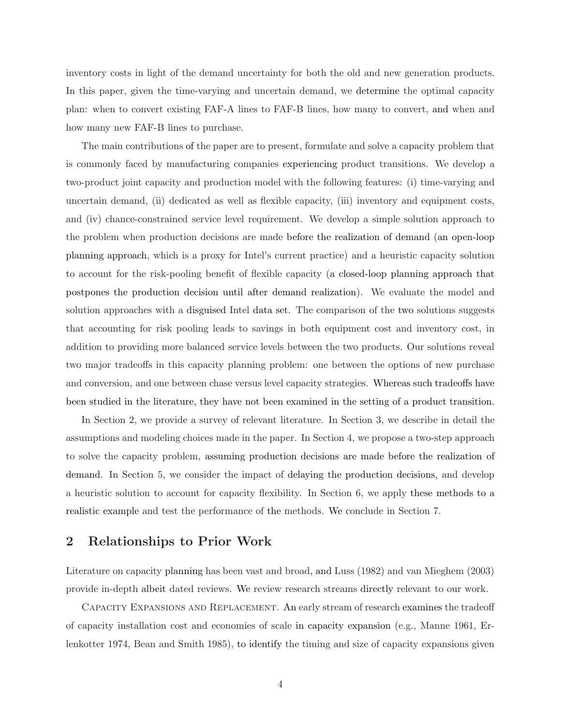inventory costs in light of the demand uncertainty for both the old and new generation products. In this paper, given the time-varying and uncertain demand, we determine the optimal capacity plan: when to convert existing FAF-A lines to FAF-B lines, how many to convert, and when and how many new FAF-B lines to purchase.

The main contributions of the paper are to present, formulate and solve a capacity problem that is commonly faced by manufacturing companies experiencing product transitions. We develop a two-product joint capacity and production model with the following features: (i) time-varying and uncertain demand, (ii) dedicated as well as flexible capacity, (iii) inventory and equipment costs, and (iv) chance-constrained service level requirement. We develop a simple solution approach to the problem when production decisions are made before the realization of demand (an open-loop planning approach, which is a proxy for Intel's current practice) and a heuristic capacity solution to account for the risk-pooling benefit of flexible capacity (a closed-loop planning approach that postpones the production decision until after demand realization). We evaluate the model and solution approaches with a disguised Intel data set. The comparison of the two solutions suggests that accounting for risk pooling leads to savings in both equipment cost and inventory cost, in addition to providing more balanced service levels between the two products. Our solutions reveal two major tradeoffs in this capacity planning problem: one between the options of new purchase and conversion, and one between chase versus level capacity strategies. Whereas such tradeoffs have been studied in the literature, they have not been examined in the setting of a product transition.

In Section 2, we provide a survey of relevant literature. In Section 3, we describe in detail the assumptions and modeling choices made in the paper. In Section 4, we propose a two-step approach to solve the capacity problem, assuming production decisions are made before the realization of demand. In Section 5, we consider the impact of delaying the production decisions, and develop a heuristic solution to account for capacity flexibility. In Section 6, we apply these methods to a realistic example and test the performance of the methods. We conclude in Section 7.

### 2 Relationships to Prior Work

Literature on capacity planning has been vast and broad, and Luss (1982) and van Mieghem (2003) provide in-depth albeit dated reviews. We review research streams directly relevant to our work.

Capacity Expansions and Replacement. An early stream of research examines the tradeoff of capacity installation cost and economies of scale in capacity expansion (e.g., Manne 1961, Erlenkotter 1974, Bean and Smith 1985), to identify the timing and size of capacity expansions given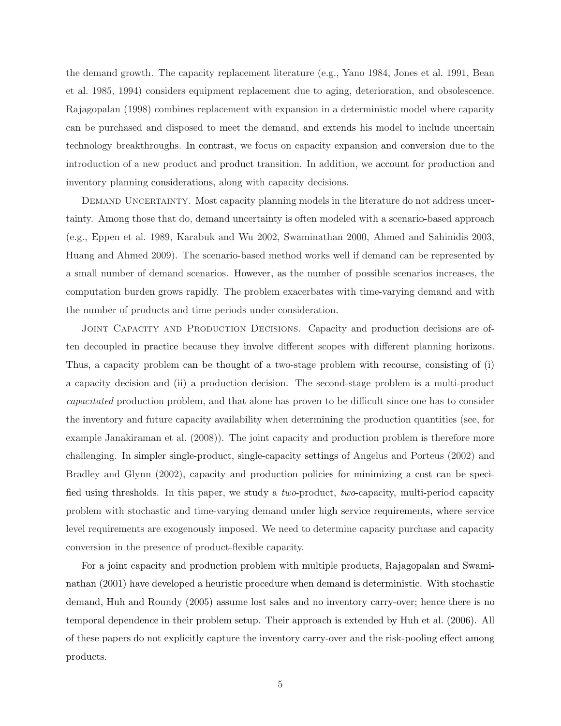the demand growth. The capacity replacement literature (e.g., Yano 1984, Jones et al. 1991, Bean et al. 1985, 1994) considers equipment replacement due to aging, deterioration, and obsolescence. Rajagopalan (1998) combines replacement with expansion in a deterministic model where capacity can be purchased and disposed to meet the demand, and extends his model to include uncertain technology breakthroughs. In contrast, we focus on capacity expansion and conversion due to the introduction of a new product and product transition. In addition, we account for production and inventory planning considerations, along with capacity decisions.

DEMAND UNCERTAINTY. Most capacity planning models in the literature do not address uncertainty. Among those that do, demand uncertainty is often modeled with a scenario-based approach (e.g., Eppen et al. 1989, Karabuk and Wu 2002, Swaminathan 2000, Ahmed and Sahinidis 2003, Huang and Ahmed 2009). The scenario-based method works well if demand can be represented by a small number of demand scenarios. However, as the number of possible scenarios increases, the computation burden grows rapidly. The problem exacerbates with time-varying demand and with the number of products and time periods under consideration.

Joint Capacity and Production Decisions. Capacity and production decisions are often decoupled in practice because they involve different scopes with different planning horizons. Thus, a capacity problem can be thought of a two-stage problem with recourse, consisting of (i) a capacity decision and (ii) a production decision. The second-stage problem is a multi-product capacitated production problem, and that alone has proven to be difficult since one has to consider the inventory and future capacity availability when determining the production quantities (see, for example Janakiraman et al. (2008)). The joint capacity and production problem is therefore more challenging. In simpler single-product, single-capacity settings of Angelus and Porteus (2002) and Bradley and Glynn (2002), capacity and production policies for minimizing a cost can be specified using thresholds. In this paper, we study a two-product, two-capacity, multi-period capacity problem with stochastic and time-varying demand under high service requirements, where service level requirements are exogenously imposed. We need to determine capacity purchase and capacity conversion in the presence of product-flexible capacity.

For a joint capacity and production problem with multiple products, Rajagopalan and Swaminathan (2001) have developed a heuristic procedure when demand is deterministic. With stochastic demand, Huh and Roundy (2005) assume lost sales and no inventory carry-over; hence there is no temporal dependence in their problem setup. Their approach is extended by Huh et al. (2006). All of these papers do not explicitly capture the inventory carry-over and the risk-pooling effect among products.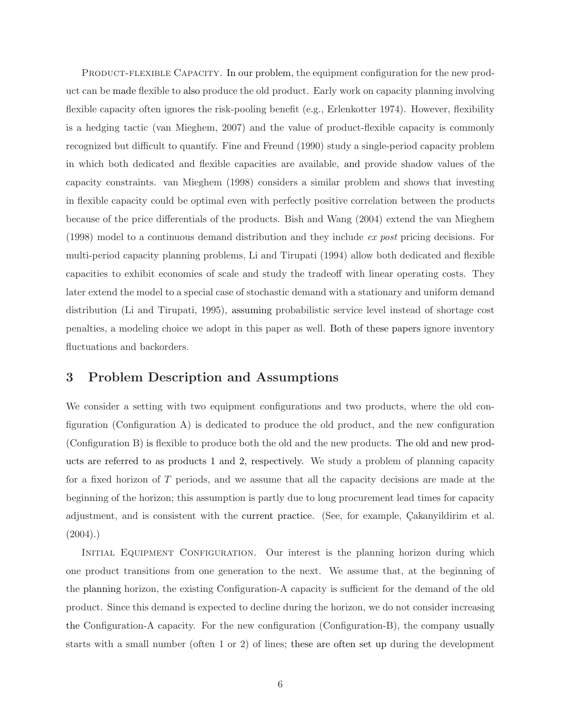PRODUCT-FLEXIBLE CAPACITY. In our problem, the equipment configuration for the new product can be made flexible to also produce the old product. Early work on capacity planning involving flexible capacity often ignores the risk-pooling benefit (e.g., Erlenkotter 1974). However, flexibility is a hedging tactic (van Mieghem, 2007) and the value of product-flexible capacity is commonly recognized but difficult to quantify. Fine and Freund (1990) study a single-period capacity problem in which both dedicated and flexible capacities are available, and provide shadow values of the capacity constraints. van Mieghem (1998) considers a similar problem and shows that investing in flexible capacity could be optimal even with perfectly positive correlation between the products because of the price differentials of the products. Bish and Wang (2004) extend the van Mieghem (1998) model to a continuous demand distribution and they include ex post pricing decisions. For multi-period capacity planning problems, Li and Tirupati (1994) allow both dedicated and flexible capacities to exhibit economies of scale and study the tradeoff with linear operating costs. They later extend the model to a special case of stochastic demand with a stationary and uniform demand distribution (Li and Tirupati, 1995), assuming probabilistic service level instead of shortage cost penalties, a modeling choice we adopt in this paper as well. Both of these papers ignore inventory fluctuations and backorders.

### 3 Problem Description and Assumptions

We consider a setting with two equipment configurations and two products, where the old configuration (Configuration A) is dedicated to produce the old product, and the new configuration (Configuration B) is flexible to produce both the old and the new products. The old and new products are referred to as products 1 and 2, respectively. We study a problem of planning capacity for a fixed horizon of T periods, and we assume that all the capacity decisions are made at the beginning of the horizon; this assumption is partly due to long procurement lead times for capacity adjustment, and is consistent with the current practice. (See, for example, Cakanyildirim et al.  $(2004).$ 

INITIAL EQUIPMENT CONFIGURATION. Our interest is the planning horizon during which one product transitions from one generation to the next. We assume that, at the beginning of the planning horizon, the existing Configuration-A capacity is sufficient for the demand of the old product. Since this demand is expected to decline during the horizon, we do not consider increasing the Configuration-A capacity. For the new configuration (Configuration-B), the company usually starts with a small number (often 1 or 2) of lines; these are often set up during the development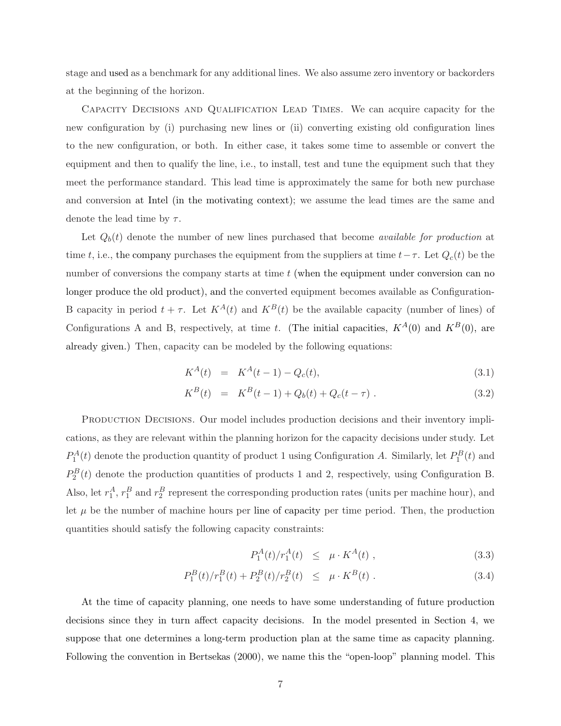stage and used as a benchmark for any additional lines. We also assume zero inventory or backorders at the beginning of the horizon.

Capacity Decisions and Qualification Lead Times. We can acquire capacity for the new configuration by (i) purchasing new lines or (ii) converting existing old configuration lines to the new configuration, or both. In either case, it takes some time to assemble or convert the equipment and then to qualify the line, i.e., to install, test and tune the equipment such that they meet the performance standard. This lead time is approximately the same for both new purchase and conversion at Intel (in the motivating context); we assume the lead times are the same and denote the lead time by  $\tau$ .

Let  $Q_b(t)$  denote the number of new lines purchased that become *available for production* at time t, i.e., the company purchases the equipment from the suppliers at time  $t-\tau$ . Let  $Q_c(t)$  be the number of conversions the company starts at time  $t$  (when the equipment under conversion can no longer produce the old product), and the converted equipment becomes available as Configuration-B capacity in period  $t + \tau$ . Let  $K^A(t)$  and  $K^B(t)$  be the available capacity (number of lines) of Configurations A and B, respectively, at time t. (The initial capacities,  $K^A(0)$  and  $K^B(0)$ , are already given.) Then, capacity can be modeled by the following equations:

$$
K^{A}(t) = K^{A}(t-1) - Q_{c}(t), \qquad (3.1)
$$

$$
K^{B}(t) = K^{B}(t-1) + Q_{b}(t) + Q_{c}(t-\tau) . \qquad (3.2)
$$

PRODUCTION DECISIONS. Our model includes production decisions and their inventory implications, as they are relevant within the planning horizon for the capacity decisions under study. Let  $P_1^A(t)$  denote the production quantity of product 1 using Configuration A. Similarly, let  $P_1^B(t)$  and  $P_2^B(t)$  denote the production quantities of products 1 and 2, respectively, using Configuration B. Also, let  $r_1^A$ ,  $r_1^B$  and  $r_2^B$  represent the corresponding production rates (units per machine hour), and let  $\mu$  be the number of machine hours per line of capacity per time period. Then, the production quantities should satisfy the following capacity constraints:

$$
P_1^A(t)/r_1^A(t) \le \mu \cdot K^A(t) , \qquad (3.3)
$$

$$
P_1^B(t)/r_1^B(t) + P_2^B(t)/r_2^B(t) \le \mu \cdot K^B(t) . \tag{3.4}
$$

At the time of capacity planning, one needs to have some understanding of future production decisions since they in turn affect capacity decisions. In the model presented in Section 4, we suppose that one determines a long-term production plan at the same time as capacity planning. Following the convention in Bertsekas (2000), we name this the "open-loop" planning model. This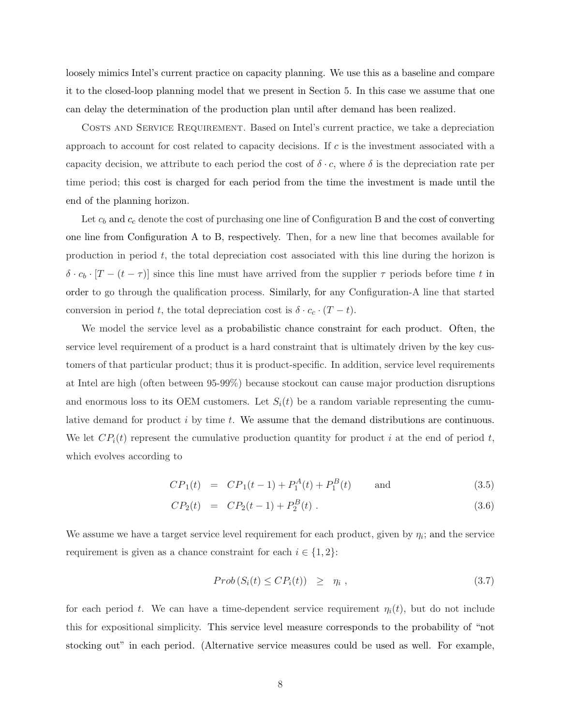loosely mimics Intel's current practice on capacity planning. We use this as a baseline and compare it to the closed-loop planning model that we present in Section 5. In this case we assume that one can delay the determination of the production plan until after demand has been realized.

COSTS AND SERVICE REQUIREMENT. Based on Intel's current practice, we take a depreciation approach to account for cost related to capacity decisions. If  $c$  is the investment associated with a capacity decision, we attribute to each period the cost of  $\delta \cdot c$ , where  $\delta$  is the depreciation rate per time period; this cost is charged for each period from the time the investment is made until the end of the planning horizon.

Let  $c_b$  and  $c_c$  denote the cost of purchasing one line of Configuration B and the cost of converting one line from Configuration A to B, respectively. Then, for a new line that becomes available for production in period  $t$ , the total depreciation cost associated with this line during the horizon is  $\delta \cdot c_b \cdot [T - (t - \tau)]$  since this line must have arrived from the supplier  $\tau$  periods before time t in order to go through the qualification process. Similarly, for any Configuration-A line that started conversion in period t, the total depreciation cost is  $\delta \cdot c_c \cdot (T - t)$ .

We model the service level as a probabilistic chance constraint for each product. Often, the service level requirement of a product is a hard constraint that is ultimately driven by the key customers of that particular product; thus it is product-specific. In addition, service level requirements at Intel are high (often between 95-99%) because stockout can cause major production disruptions and enormous loss to its OEM customers. Let  $S_i(t)$  be a random variable representing the cumulative demand for product  $i$  by time  $t$ . We assume that the demand distributions are continuous. We let  $CP_i(t)$  represent the cumulative production quantity for product i at the end of period t, which evolves according to

$$
CP_1(t) = CP_1(t-1) + P_1^A(t) + P_1^B(t) \quad \text{and} \tag{3.5}
$$

$$
CP_2(t) = CP_2(t-1) + P_2^B(t) . \t\t(3.6)
$$

We assume we have a target service level requirement for each product, given by  $\eta_i$ ; and the service requirement is given as a chance constraint for each  $i \in \{1, 2\}$ :

$$
Prob(S_i(t) \leq CP_i(t)) \geq \eta_i , \qquad (3.7)
$$

for each period t. We can have a time-dependent service requirement  $\eta_i(t)$ , but do not include this for expositional simplicity. This service level measure corresponds to the probability of "not stocking out" in each period. (Alternative service measures could be used as well. For example,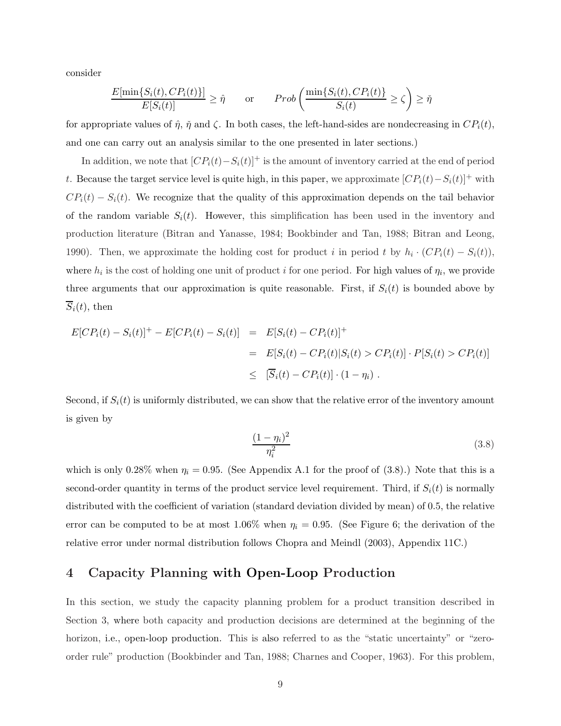consider

$$
\frac{E[\min\{S_i(t), CP_i(t)\}]}{E[S_i(t)]} \geq \hat{\eta} \quad \text{or} \quad Prob\left(\frac{\min\{S_i(t), CP_i(t)\}}{S_i(t)} \geq \zeta\right) \geq \check{\eta}
$$

for appropriate values of  $\hat{\eta}$ ,  $\check{\eta}$  and  $\zeta$ . In both cases, the left-hand-sides are nondecreasing in  $CP_i(t)$ , and one can carry out an analysis similar to the one presented in later sections.)

In addition, we note that  $[CP<sub>i</sub>(t)-S<sub>i</sub>(t)]<sup>+</sup>$  is the amount of inventory carried at the end of period t. Because the target service level is quite high, in this paper, we approximate  $[CP_i(t)-S_i(t)]^+$  with  $CP_i(t) - S_i(t)$ . We recognize that the quality of this approximation depends on the tail behavior of the random variable  $S_i(t)$ . However, this simplification has been used in the inventory and production literature (Bitran and Yanasse, 1984; Bookbinder and Tan, 1988; Bitran and Leong, 1990). Then, we approximate the holding cost for product i in period t by  $h_i \cdot (CP_i(t) - S_i(t))$ , where  $h_i$  is the cost of holding one unit of product i for one period. For high values of  $\eta_i$ , we provide three arguments that our approximation is quite reasonable. First, if  $S_i(t)$  is bounded above by  $\overline{S}_i(t)$ , then

$$
E[CP_i(t) - S_i(t)]^+ - E[CP_i(t) - S_i(t)] = E[S_i(t) - CP_i(t)]^+
$$
  
\n
$$
= E[S_i(t) - CP_i(t)|S_i(t) > CP_i(t)] \cdot P[S_i(t) > CP_i(t)]
$$
  
\n
$$
\leq [\overline{S}_i(t) - CP_i(t)] \cdot (1 - \eta_i).
$$

Second, if  $S_i(t)$  is uniformly distributed, we can show that the relative error of the inventory amount is given by

$$
\frac{(1 - \eta_i)^2}{\eta_i^2} \tag{3.8}
$$

which is only 0.28% when  $\eta_i = 0.95$ . (See Appendix A.1 for the proof of (3.8).) Note that this is a second-order quantity in terms of the product service level requirement. Third, if  $S_i(t)$  is normally distributed with the coefficient of variation (standard deviation divided by mean) of 0.5, the relative error can be computed to be at most 1.06% when  $\eta_i = 0.95$ . (See Figure 6; the derivation of the relative error under normal distribution follows Chopra and Meindl (2003), Appendix 11C.)

## 4 Capacity Planning with Open-Loop Production

In this section, we study the capacity planning problem for a product transition described in Section 3, where both capacity and production decisions are determined at the beginning of the horizon, i.e., open-loop production. This is also referred to as the "static uncertainty" or "zeroorder rule" production (Bookbinder and Tan, 1988; Charnes and Cooper, 1963). For this problem,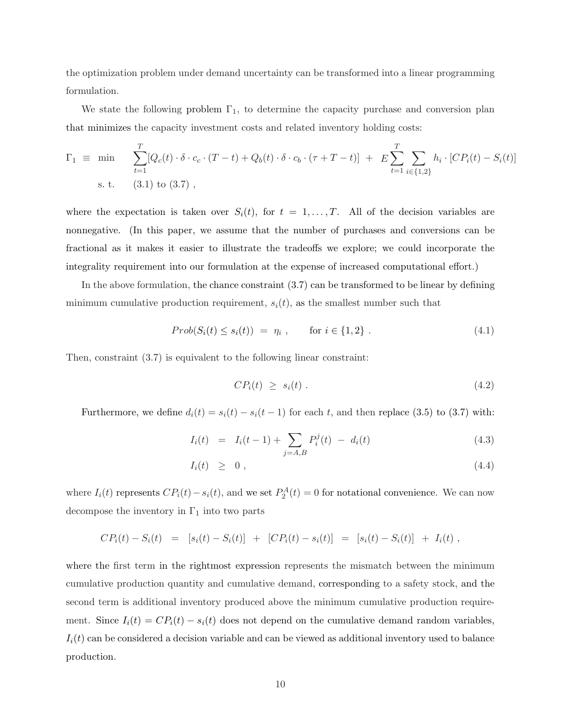the optimization problem under demand uncertainty can be transformed into a linear programming formulation.

We state the following problem  $\Gamma_1$ , to determine the capacity purchase and conversion plan that minimizes the capacity investment costs and related inventory holding costs:

$$
\Gamma_1 \equiv \min \sum_{t=1}^T [Q_c(t) \cdot \delta \cdot c_c \cdot (T-t) + Q_b(t) \cdot \delta \cdot c_b \cdot (\tau + T - t)] + E \sum_{t=1}^T \sum_{i \in \{1,2\}} h_i \cdot [CP_i(t) - S_i(t)]
$$
  
s. t. (3.1) to (3.7),

where the expectation is taken over  $S_i(t)$ , for  $t = 1, ..., T$ . All of the decision variables are nonnegative. (In this paper, we assume that the number of purchases and conversions can be fractional as it makes it easier to illustrate the tradeoffs we explore; we could incorporate the integrality requirement into our formulation at the expense of increased computational effort.)

In the above formulation, the chance constraint (3.7) can be transformed to be linear by defining minimum cumulative production requirement,  $s_i(t)$ , as the smallest number such that

$$
Prob(S_i(t) \le s_i(t)) = \eta_i , \quad \text{for } i \in \{1, 2\} .
$$
 (4.1)

Then, constraint (3.7) is equivalent to the following linear constraint:

$$
CP_i(t) \geq s_i(t) \tag{4.2}
$$

Furthermore, we define  $d_i(t) = s_i(t) - s_i(t-1)$  for each t, and then replace (3.5) to (3.7) with:

$$
I_i(t) = I_i(t-1) + \sum_{j=A,B} P_i^j(t) - d_i(t)
$$
\n(4.3)

$$
I_i(t) \geq 0 \t{,} \t(4.4)
$$

where  $I_i(t)$  represents  $CP_i(t) - s_i(t)$ , and we set  $P_2^A(t) = 0$  for notational convenience. We can now decompose the inventory in  $\Gamma_1$  into two parts

$$
CP_i(t) - S_i(t) = [s_i(t) - S_i(t)] + [CP_i(t) - s_i(t)] = [s_i(t) - S_i(t)] + I_i(t),
$$

where the first term in the rightmost expression represents the mismatch between the minimum cumulative production quantity and cumulative demand, corresponding to a safety stock, and the second term is additional inventory produced above the minimum cumulative production requirement. Since  $I_i(t) = CP_i(t) - s_i(t)$  does not depend on the cumulative demand random variables,  $I_i(t)$  can be considered a decision variable and can be viewed as additional inventory used to balance production.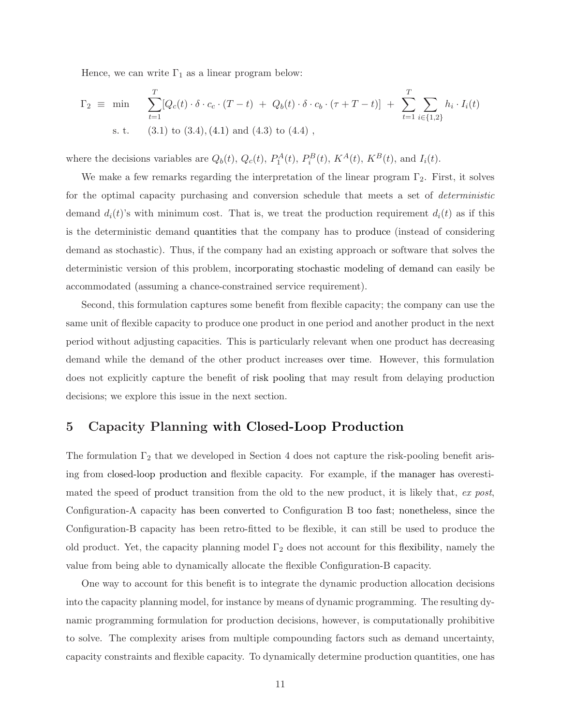Hence, we can write  $\Gamma_1$  as a linear program below:

$$
\Gamma_2 \equiv \min \sum_{t=1}^T [Q_c(t) \cdot \delta \cdot c_c \cdot (T-t) + Q_b(t) \cdot \delta \cdot c_b \cdot (\tau + T - t)] + \sum_{t=1}^T \sum_{i \in \{1,2\}} h_i \cdot I_i(t)
$$
  
s. t. (3.1) to (3.4), (4.1) and (4.3) to (4.4),

where the decisions variables are  $Q_b(t)$ ,  $Q_c(t)$ ,  $P_1^A(t)$ ,  $P_i^B(t)$ ,  $K^A(t)$ ,  $K^B(t)$ , and  $I_i(t)$ .

We make a few remarks regarding the interpretation of the linear program  $\Gamma_2$ . First, it solves for the optimal capacity purchasing and conversion schedule that meets a set of *deterministic* demand  $d_i(t)$ 's with minimum cost. That is, we treat the production requirement  $d_i(t)$  as if this is the deterministic demand quantities that the company has to produce (instead of considering demand as stochastic). Thus, if the company had an existing approach or software that solves the deterministic version of this problem, incorporating stochastic modeling of demand can easily be accommodated (assuming a chance-constrained service requirement).

Second, this formulation captures some benefit from flexible capacity; the company can use the same unit of flexible capacity to produce one product in one period and another product in the next period without adjusting capacities. This is particularly relevant when one product has decreasing demand while the demand of the other product increases over time. However, this formulation does not explicitly capture the benefit of risk pooling that may result from delaying production decisions; we explore this issue in the next section.

### 5 Capacity Planning with Closed-Loop Production

The formulation  $\Gamma_2$  that we developed in Section 4 does not capture the risk-pooling benefit arising from closed-loop production and flexible capacity. For example, if the manager has overestimated the speed of product transition from the old to the new product, it is likely that, ex post, Configuration-A capacity has been converted to Configuration B too fast; nonetheless, since the Configuration-B capacity has been retro-fitted to be flexible, it can still be used to produce the old product. Yet, the capacity planning model  $\Gamma_2$  does not account for this flexibility, namely the value from being able to dynamically allocate the flexible Configuration-B capacity.

One way to account for this benefit is to integrate the dynamic production allocation decisions into the capacity planning model, for instance by means of dynamic programming. The resulting dynamic programming formulation for production decisions, however, is computationally prohibitive to solve. The complexity arises from multiple compounding factors such as demand uncertainty, capacity constraints and flexible capacity. To dynamically determine production quantities, one has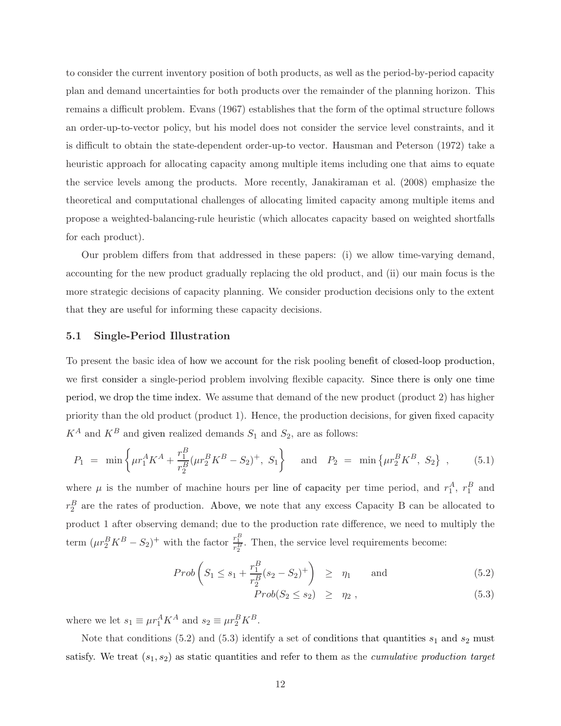to consider the current inventory position of both products, as well as the period-by-period capacity plan and demand uncertainties for both products over the remainder of the planning horizon. This remains a difficult problem. Evans (1967) establishes that the form of the optimal structure follows an order-up-to-vector policy, but his model does not consider the service level constraints, and it is difficult to obtain the state-dependent order-up-to vector. Hausman and Peterson (1972) take a heuristic approach for allocating capacity among multiple items including one that aims to equate the service levels among the products. More recently, Janakiraman et al. (2008) emphasize the theoretical and computational challenges of allocating limited capacity among multiple items and propose a weighted-balancing-rule heuristic (which allocates capacity based on weighted shortfalls for each product).

Our problem differs from that addressed in these papers: (i) we allow time-varying demand, accounting for the new product gradually replacing the old product, and (ii) our main focus is the more strategic decisions of capacity planning. We consider production decisions only to the extent that they are useful for informing these capacity decisions.

#### 5.1 Single-Period Illustration

To present the basic idea of how we account for the risk pooling benefit of closed-loop production, we first consider a single-period problem involving flexible capacity. Since there is only one time period, we drop the time index. We assume that demand of the new product (product 2) has higher priority than the old product (product 1). Hence, the production decisions, for given fixed capacity  $K^A$  and  $K^B$  and given realized demands  $S_1$  and  $S_2$ , are as follows:

$$
P_1 = \min \left\{ \mu r_1^A K^A + \frac{r_1^B}{r_2^B} (\mu r_2^B K^B - S_2)^+, \ S_1 \right\} \quad \text{and} \quad P_2 = \min \left\{ \mu r_2^B K^B, \ S_2 \right\} \,, \tag{5.1}
$$

where  $\mu$  is the number of machine hours per line of capacity per time period, and  $r_1^A$ ,  $r_1^B$  and  $r_2^B$  are the rates of production. Above, we note that any excess Capacity B can be allocated to product 1 after observing demand; due to the production rate difference, we need to multiply the term  $(\mu r_2^B K^B - S_2)^+$  with the factor  $\frac{r_1^B}{r_2^B}$ . Then, the service level requirements become:

$$
Prob\left(S_1 \le s_1 + \frac{r_1^B}{r_2^B} (s_2 - S_2)^+\right) \ge \eta_1 \quad \text{and} \quad (5.2)
$$
  
\n
$$
Prob(S_2 \le s_2) \ge \eta_2 , \quad (5.3)
$$

where we let  $s_1 \equiv \mu r_1^A K^A$  and  $s_2 \equiv \mu r_2^B K^B$ .

Note that conditions (5.2) and (5.3) identify a set of conditions that quantities  $s_1$  and  $s_2$  must satisfy. We treat  $(s_1, s_2)$  as static quantities and refer to them as the *cumulative production target*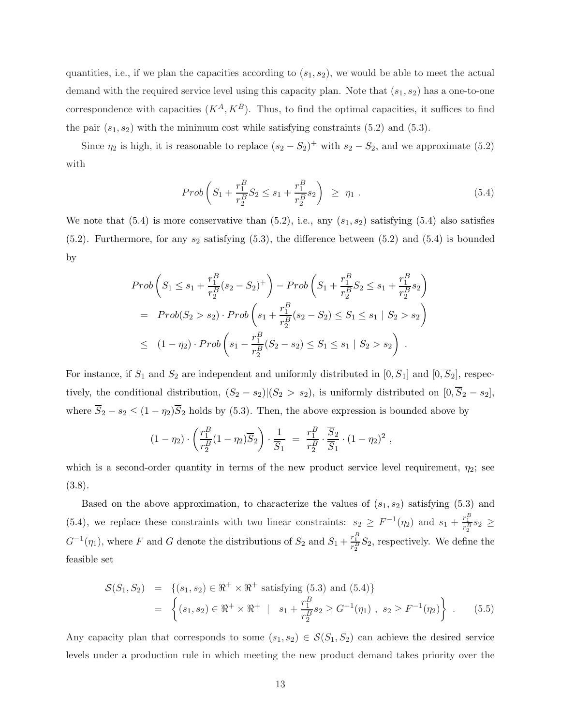quantities, i.e., if we plan the capacities according to  $(s_1, s_2)$ , we would be able to meet the actual demand with the required service level using this capacity plan. Note that  $(s_1, s_2)$  has a one-to-one correspondence with capacities  $(K^A, K^B)$ . Thus, to find the optimal capacities, it suffices to find the pair  $(s_1, s_2)$  with the minimum cost while satisfying constraints (5.2) and (5.3).

Since  $\eta_2$  is high, it is reasonable to replace  $(s_2 - S_2)^+$  with  $s_2 - S_2$ , and we approximate (5.2) with

$$
Prob\left(S_1 + \frac{r_1^B}{r_2^B}S_2 \le s_1 + \frac{r_1^B}{r_2^B} s_2\right) \ge \eta_1.
$$
\n(5.4)

We note that  $(5.4)$  is more conservative than  $(5.2)$ , i.e., any  $(s_1, s_2)$  satisfying  $(5.4)$  also satisfies  $(5.2)$ . Furthermore, for any  $s_2$  satisfying  $(5.3)$ , the difference between  $(5.2)$  and  $(5.4)$  is bounded by

$$
Prob\left(S_1 \le s_1 + \frac{r_1^B}{r_2^B}(s_2 - S_2)^+\right) - Prob\left(S_1 + \frac{r_1^B}{r_2^B}S_2 \le s_1 + \frac{r_1^B}{r_2^B}s_2\right)
$$
  
=  $Prob(S_2 > s_2) \cdot Prob\left(s_1 + \frac{r_1^B}{r_2^B}(s_2 - S_2) \le S_1 \le s_1 | S_2 > s_2\right)$   

$$
\le (1 - \eta_2) \cdot Prob\left(s_1 - \frac{r_1^B}{r_2^B}(S_2 - s_2) \le S_1 \le s_1 | S_2 > s_2\right).
$$

For instance, if  $S_1$  and  $S_2$  are independent and uniformly distributed in  $[0, \overline{S}_1]$  and  $[0, \overline{S}_2]$ , respectively, the conditional distribution,  $(S_2 - s_2)|(S_2 > s_2)$ , is uniformly distributed on  $[0, \overline{S}_2 - s_2]$ . where  $\overline{S}_2 - s_2 \le (1 - \eta_2) \overline{S}_2$  holds by (5.3). Then, the above expression is bounded above by

$$
(1 - \eta_2) \cdot \left(\frac{r_1^B}{r_2^B} (1 - \eta_2) \overline{S}_2\right) \cdot \frac{1}{\overline{S}_1} = \frac{r_1^B}{r_2^B} \cdot \frac{\overline{S}_2}{\overline{S}_1} \cdot (1 - \eta_2)^2,
$$

which is a second-order quantity in terms of the new product service level requirement,  $\eta_2$ ; see (3.8).

Based on the above approximation, to characterize the values of  $(s_1, s_2)$  satisfying  $(5.3)$  and (5.4), we replace these constraints with two linear constraints:  $s_2 \geq F^{-1}(\eta_2)$  and  $s_1 + \frac{r_1^B}{r_2^B}s_2 \geq$  $G^{-1}(\eta_1)$ , where F and G denote the distributions of  $S_2$  and  $S_1 + \frac{r_1^B}{r_2^B}S_2$ , respectively. We define the feasible set

$$
S(S_1, S_2) = \{(s_1, s_2) \in \mathbb{R}^+ \times \mathbb{R}^+ \text{ satisfying (5.3) and (5.4)}\}
$$
  
= 
$$
\left\{(s_1, s_2) \in \mathbb{R}^+ \times \mathbb{R}^+ \mid s_1 + \frac{r_1^B}{r_2^B} s_2 \ge G^{-1}(\eta_1), s_2 \ge F^{-1}(\eta_2)\right\}. \qquad (5.5)
$$

Any capacity plan that corresponds to some  $(s_1, s_2) \in S(S_1, S_2)$  can achieve the desired service levels under a production rule in which meeting the new product demand takes priority over the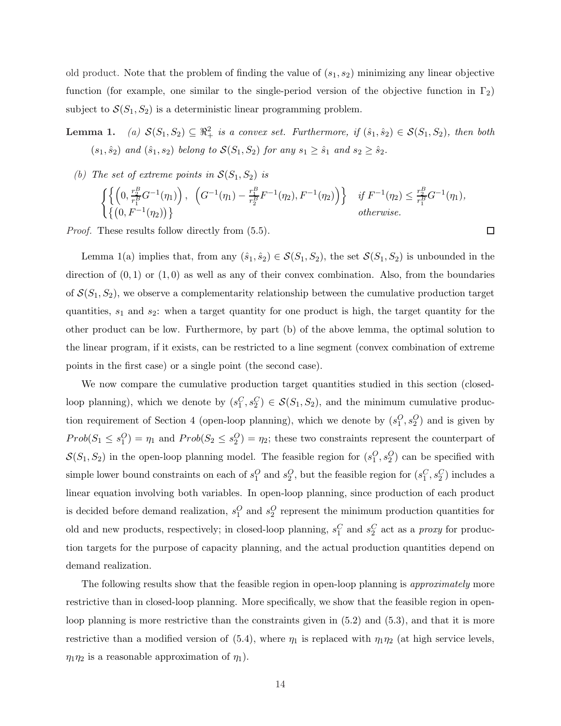old product. Note that the problem of finding the value of  $(s_1, s_2)$  minimizing any linear objective function (for example, one similar to the single-period version of the objective function in  $\Gamma_2$ ) subject to  $\mathcal{S}(S_1, S_2)$  is a deterministic linear programming problem.

**Lemma 1.** (a)  $S(S_1, S_2) \subseteq \mathbb{R}^2_+$  is a convex set. Furthermore, if  $(\hat{s}_1, \hat{s}_2) \in S(S_1, S_2)$ , then both  $(s_1, \hat{s}_2)$  and  $(\hat{s}_1, s_2)$  belong to  $\mathcal{S}(S_1, S_2)$  for any  $s_1 \geq \hat{s}_1$  and  $s_2 \geq \hat{s}_2$ .

(b) The set of extreme points in  $S(S_1, S_2)$  is

$$
\begin{cases} \left\{ \left(0, \frac{r_{\mathcal{D}}^B}{r_1^B} G^{-1}(\eta_1) \right), \left( G^{-1}(\eta_1) - \frac{r_1^B}{r_2^B} F^{-1}(\eta_2), F^{-1}(\eta_2) \right) \right\} & \text{if } F^{-1}(\eta_2) \le \frac{r_{\mathcal{D}}^B}{r_1^B} G^{-1}(\eta_1), \\ \left\{ \left(0, F^{-1}(\eta_2) \right) \right\} & \text{otherwise.} \end{cases}
$$

 $\Box$ 

Proof. These results follow directly from (5.5).

Lemma 1(a) implies that, from any  $(\hat{s}_1, \hat{s}_2) \in \mathcal{S}(S_1, S_2)$ , the set  $\mathcal{S}(S_1, S_2)$  is unbounded in the direction of  $(0, 1)$  or  $(1, 0)$  as well as any of their convex combination. Also, from the boundaries of  $\mathcal{S}(S_1, S_2)$ , we observe a complementarity relationship between the cumulative production target quantities,  $s_1$  and  $s_2$ : when a target quantity for one product is high, the target quantity for the other product can be low. Furthermore, by part (b) of the above lemma, the optimal solution to the linear program, if it exists, can be restricted to a line segment (convex combination of extreme points in the first case) or a single point (the second case).

We now compare the cumulative production target quantities studied in this section (closedloop planning), which we denote by  $(s_1^C, s_2^C) \in \mathcal{S}(S_1, S_2)$ , and the minimum cumulative production requirement of Section 4 (open-loop planning), which we denote by  $(s_1^O, s_2^O)$  and is given by  $Prob(S_1 \leq s_1^O) = \eta_1$  and  $Prob(S_2 \leq s_2^O) = \eta_2$ ; these two constraints represent the counterpart of  $S(S_1, S_2)$  in the open-loop planning model. The feasible region for  $(s_1^O, s_2^O)$  can be specified with simple lower bound constraints on each of  $s_1^O$  and  $s_2^O$ , but the feasible region for  $(s_1^C, s_2^C)$  includes a linear equation involving both variables. In open-loop planning, since production of each product is decided before demand realization,  $s_1^O$  and  $s_2^O$  represent the minimum production quantities for old and new products, respectively; in closed-loop planning,  $s_1^C$  and  $s_2^C$  act as a proxy for production targets for the purpose of capacity planning, and the actual production quantities depend on demand realization.

The following results show that the feasible region in open-loop planning is *approximately* more restrictive than in closed-loop planning. More specifically, we show that the feasible region in openloop planning is more restrictive than the constraints given in  $(5.2)$  and  $(5.3)$ , and that it is more restrictive than a modified version of (5.4), where  $\eta_1$  is replaced with  $\eta_1\eta_2$  (at high service levels,  $\eta_1\eta_2$  is a reasonable approximation of  $\eta_1$ ).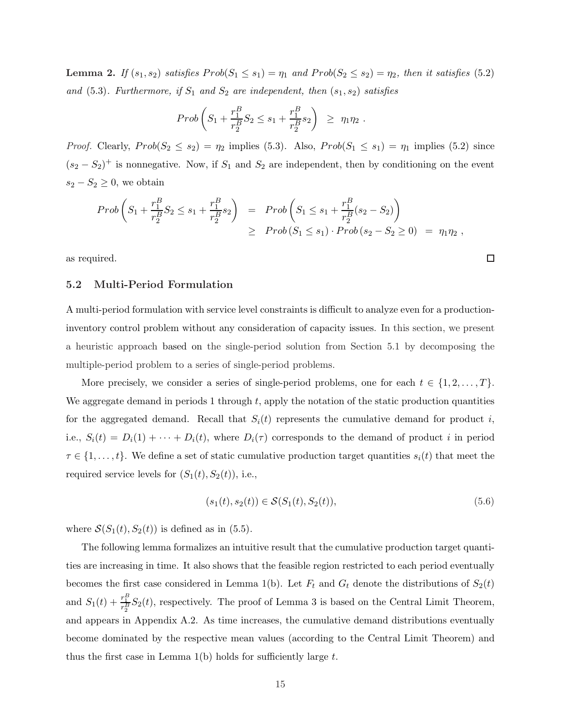**Lemma 2.** If  $(s_1, s_2)$  satisfies  $Prob(S_1 \leq s_1) = \eta_1$  and  $Prob(S_2 \leq s_2) = \eta_2$ , then it satisfies (5.2) and (5.3). Furthermore, if  $S_1$  and  $S_2$  are independent, then  $(s_1, s_2)$  satisfies

$$
Prob\left(S_1 + \frac{r_1^B}{r_2^B}S_2 \leq s_1 + \frac{r_1^B}{r_2^B}s_2\right) \geq \eta_1 \eta_2.
$$

*Proof.* Clearly,  $Prob(S_2 \le s_2) = \eta_2$  implies (5.3). Also,  $Prob(S_1 \le s_1) = \eta_1$  implies (5.2) since  $(s_2 - S_2)^+$  is nonnegative. Now, if  $S_1$  and  $S_2$  are independent, then by conditioning on the event  $s_2 - S_2 \geq 0$ , we obtain

$$
Prob\left(S_1 + \frac{r_1^B}{r_2^B}S_2 \le s_1 + \frac{r_1^B}{r_2^B}s_2\right) = Prob\left(S_1 \le s_1 + \frac{r_1^B}{r_2^B}(s_2 - S_2)\right)
$$
  
\n
$$
\ge Prob\left(S_1 \le s_1\right) \cdot Prob(s_2 - S_2 \ge 0) = \eta_1 \eta_2,
$$

as required.

#### 5.2 Multi-Period Formulation

A multi-period formulation with service level constraints is difficult to analyze even for a productioninventory control problem without any consideration of capacity issues. In this section, we present a heuristic approach based on the single-period solution from Section 5.1 by decomposing the multiple-period problem to a series of single-period problems.

More precisely, we consider a series of single-period problems, one for each  $t \in \{1, 2, ..., T\}$ . We aggregate demand in periods 1 through t, apply the notation of the static production quantities for the aggregated demand. Recall that  $S_i(t)$  represents the cumulative demand for product i, i.e.,  $S_i(t) = D_i(1) + \cdots + D_i(t)$ , where  $D_i(\tau)$  corresponds to the demand of product i in period  $\tau \in \{1, \ldots, t\}$ . We define a set of static cumulative production target quantities  $s_i(t)$  that meet the required service levels for  $(S_1(t), S_2(t))$ , i.e.,

$$
(s_1(t), s_2(t)) \in \mathcal{S}(S_1(t), S_2(t)),
$$
\n(5.6)

 $\Box$ 

where  $\mathcal{S}(S_1(t), S_2(t))$  is defined as in (5.5).

The following lemma formalizes an intuitive result that the cumulative production target quantities are increasing in time. It also shows that the feasible region restricted to each period eventually becomes the first case considered in Lemma 1(b). Let  $F_t$  and  $G_t$  denote the distributions of  $S_2(t)$ and  $S_1(t) + \frac{r_1^B}{r_2^B} S_2(t)$ , respectively. The proof of Lemma 3 is based on the Central Limit Theorem, and appears in Appendix A.2. As time increases, the cumulative demand distributions eventually become dominated by the respective mean values (according to the Central Limit Theorem) and thus the first case in Lemma  $1(b)$  holds for sufficiently large t.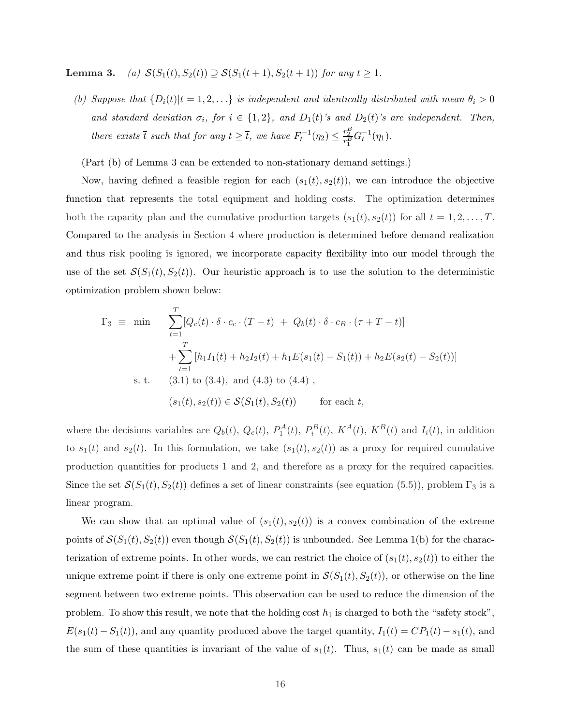Lemma 3. (a)  $S(S_1(t), S_2(t)) \supseteq S(S_1(t+1), S_2(t+1))$  for any  $t \geq 1$ .

(b) Suppose that  $\{D_i(t)|t=1,2,\ldots\}$  is independent and identically distributed with mean  $\theta_i > 0$ and standard deviation  $\sigma_i$ , for  $i \in \{1,2\}$ , and  $D_1(t)$ 's and  $D_2(t)$ 's are independent. Then, there exists  $\overline{t}$  such that for any  $t \geq \overline{t}$ , we have  $F_t^{-1}(\eta_2) \leq \frac{r_2^B}{r_1^B} G_t^{-1}(\eta_1)$ .

(Part (b) of Lemma 3 can be extended to non-stationary demand settings.)

Now, having defined a feasible region for each  $(s_1(t), s_2(t))$ , we can introduce the objective function that represents the total equipment and holding costs. The optimization determines both the capacity plan and the cumulative production targets  $(s_1(t), s_2(t))$  for all  $t = 1, 2, ..., T$ . Compared to the analysis in Section 4 where production is determined before demand realization and thus risk pooling is ignored, we incorporate capacity flexibility into our model through the use of the set  $\mathcal{S}(S_1(t), S_2(t))$ . Our heuristic approach is to use the solution to the deterministic optimization problem shown below:

$$
\Gamma_3 \equiv \min \qquad \sum_{t=1}^T [Q_c(t) \cdot \delta \cdot c_c \cdot (T-t) + Q_b(t) \cdot \delta \cdot c_B \cdot (\tau + T - t)]
$$
  
+ 
$$
\sum_{t=1}^T [h_1 I_1(t) + h_2 I_2(t) + h_1 E(s_1(t) - S_1(t)) + h_2 E(s_2(t) - S_2(t))]
$$
  
s. t. (3.1) to (3.4), and (4.3) to (4.4),  

$$
(s_1(t), s_2(t)) \in \mathcal{S}(S_1(t), S_2(t)) \qquad \text{for each } t,
$$

where the decisions variables are  $Q_b(t)$ ,  $Q_c(t)$ ,  $P_1^A(t)$ ,  $P_i^B(t)$ ,  $K^A(t)$ ,  $K^B(t)$  and  $I_i(t)$ , in addition to  $s_1(t)$  and  $s_2(t)$ . In this formulation, we take  $(s_1(t), s_2(t))$  as a proxy for required cumulative production quantities for products 1 and 2, and therefore as a proxy for the required capacities. Since the set  $\mathcal{S}(S_1(t), S_2(t))$  defines a set of linear constraints (see equation (5.5)), problem  $\Gamma_3$  is a linear program.

We can show that an optimal value of  $(s_1(t), s_2(t))$  is a convex combination of the extreme points of  $S(S_1(t), S_2(t))$  even though  $S(S_1(t), S_2(t))$  is unbounded. See Lemma 1(b) for the characterization of extreme points. In other words, we can restrict the choice of  $(s_1(t), s_2(t))$  to either the unique extreme point if there is only one extreme point in  $\mathcal{S}(S_1(t), S_2(t))$ , or otherwise on the line segment between two extreme points. This observation can be used to reduce the dimension of the problem. To show this result, we note that the holding cost  $h_1$  is charged to both the "safety stock",  $E(s_1(t) - S_1(t))$ , and any quantity produced above the target quantity,  $I_1(t) = CP_1(t) - s_1(t)$ , and the sum of these quantities is invariant of the value of  $s_1(t)$ . Thus,  $s_1(t)$  can be made as small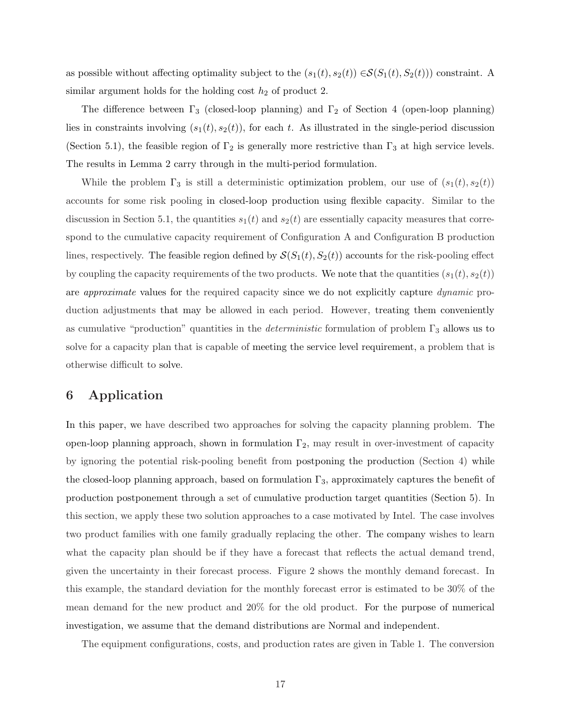as possible without affecting optimality subject to the  $(s_1(t), s_2(t)) \in S(S_1(t), S_2(t))$  constraint. A similar argument holds for the holding cost  $h_2$  of product 2.

The difference between  $\Gamma_3$  (closed-loop planning) and  $\Gamma_2$  of Section 4 (open-loop planning) lies in constraints involving  $(s_1(t), s_2(t))$ , for each t. As illustrated in the single-period discussion (Section 5.1), the feasible region of  $\Gamma_2$  is generally more restrictive than  $\Gamma_3$  at high service levels. The results in Lemma 2 carry through in the multi-period formulation.

While the problem  $\Gamma_3$  is still a deterministic optimization problem, our use of  $(s_1(t), s_2(t))$ accounts for some risk pooling in closed-loop production using flexible capacity. Similar to the discussion in Section 5.1, the quantities  $s_1(t)$  and  $s_2(t)$  are essentially capacity measures that correspond to the cumulative capacity requirement of Configuration A and Configuration B production lines, respectively. The feasible region defined by  $\mathcal{S}(S_1(t), S_2(t))$  accounts for the risk-pooling effect by coupling the capacity requirements of the two products. We note that the quantities  $(s_1(t), s_2(t))$ are *approximate* values for the required capacity since we do not explicitly capture *dynamic* production adjustments that may be allowed in each period. However, treating them conveniently as cumulative "production" quantities in the *deterministic* formulation of problem  $\Gamma_3$  allows us to solve for a capacity plan that is capable of meeting the service level requirement, a problem that is otherwise difficult to solve.

# 6 Application

In this paper, we have described two approaches for solving the capacity planning problem. The open-loop planning approach, shown in formulation  $\Gamma_2$ , may result in over-investment of capacity by ignoring the potential risk-pooling benefit from postponing the production (Section 4) while the closed-loop planning approach, based on formulation  $\Gamma_3$ , approximately captures the benefit of production postponement through a set of cumulative production target quantities (Section 5). In this section, we apply these two solution approaches to a case motivated by Intel. The case involves two product families with one family gradually replacing the other. The company wishes to learn what the capacity plan should be if they have a forecast that reflects the actual demand trend, given the uncertainty in their forecast process. Figure 2 shows the monthly demand forecast. In this example, the standard deviation for the monthly forecast error is estimated to be 30% of the mean demand for the new product and 20% for the old product. For the purpose of numerical investigation, we assume that the demand distributions are Normal and independent.

The equipment configurations, costs, and production rates are given in Table 1. The conversion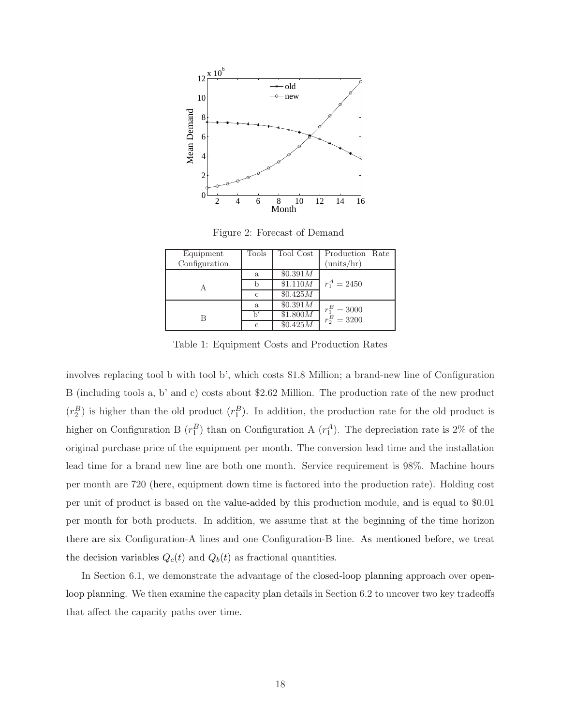

Figure 2: Forecast of Demand

| Equipment     | Tools        | Tool Cost  | Production Rate |
|---------------|--------------|------------|-----------------|
| Configuration |              |            | (units/hr)      |
|               | a            | \$0.391M   |                 |
| А             |              | \$1.110M   | $r_1^A = 2450$  |
|               | $\mathbf{c}$ | \$0.425M\$ |                 |
|               | a            | \$0.391M   | $r_1^B = 3000$  |
| В             |              | \$1.800M   | $r_2^B = 3200$  |
|               | $\mathbf{c}$ | \$0.425M   |                 |

Table 1: Equipment Costs and Production Rates

involves replacing tool b with tool b', which costs \$1.8 Million; a brand-new line of Configuration B (including tools a, b' and c) costs about \$2.62 Million. The production rate of the new product  $(r_2^B)$  is higher than the old product  $(r_1^B)$ . In addition, the production rate for the old product is higher on Configuration B  $(r_1^B)$  than on Configuration A  $(r_1^A)$ . The depreciation rate is 2% of the original purchase price of the equipment per month. The conversion lead time and the installation lead time for a brand new line are both one month. Service requirement is 98%. Machine hours per month are 720 (here, equipment down time is factored into the production rate). Holding cost per unit of product is based on the value-added by this production module, and is equal to \$0.01 per month for both products. In addition, we assume that at the beginning of the time horizon there are six Configuration-A lines and one Configuration-B line. As mentioned before, we treat the decision variables  $Q_c(t)$  and  $Q_b(t)$  as fractional quantities.

In Section 6.1, we demonstrate the advantage of the closed-loop planning approach over openloop planning. We then examine the capacity plan details in Section 6.2 to uncover two key tradeoffs that affect the capacity paths over time.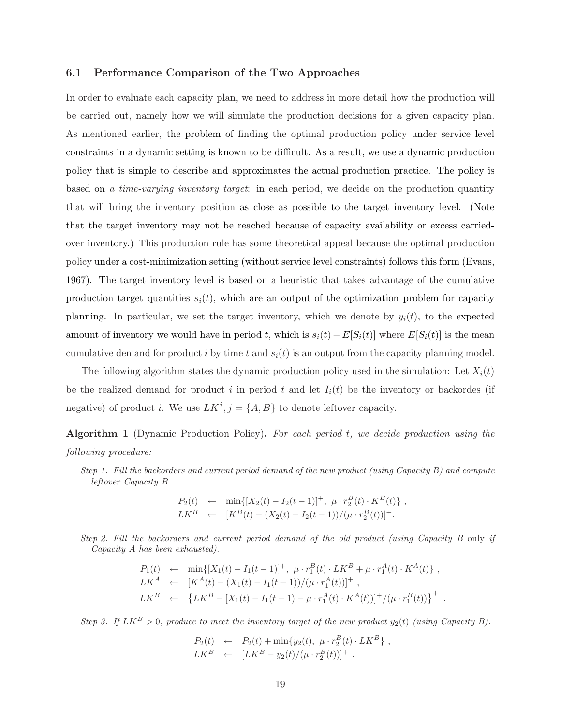#### 6.1 Performance Comparison of the Two Approaches

In order to evaluate each capacity plan, we need to address in more detail how the production will be carried out, namely how we will simulate the production decisions for a given capacity plan. As mentioned earlier, the problem of finding the optimal production policy under service level constraints in a dynamic setting is known to be difficult. As a result, we use a dynamic production policy that is simple to describe and approximates the actual production practice. The policy is based on a time-varying inventory target: in each period, we decide on the production quantity that will bring the inventory position as close as possible to the target inventory level. (Note that the target inventory may not be reached because of capacity availability or excess carriedover inventory.) This production rule has some theoretical appeal because the optimal production policy under a cost-minimization setting (without service level constraints) follows this form (Evans, 1967). The target inventory level is based on a heuristic that takes advantage of the cumulative production target quantities  $s_i(t)$ , which are an output of the optimization problem for capacity planning. In particular, we set the target inventory, which we denote by  $y_i(t)$ , to the expected amount of inventory we would have in period t, which is  $s_i(t) - E[S_i(t)]$  where  $E[S_i(t)]$  is the mean cumulative demand for product i by time t and  $s_i(t)$  is an output from the capacity planning model.

The following algorithm states the dynamic production policy used in the simulation: Let  $X_i(t)$ be the realized demand for product i in period t and let  $I_i(t)$  be the inventory or backordes (if negative) of product *i*. We use  $LK^{j}$ ,  $j = \{A, B\}$  to denote leftover capacity.

Algorithm 1 (Dynamic Production Policy). For each period  $t$ , we decide production using the following procedure:

Step 1. Fill the backorders and current period demand of the new product (using Capacity B) and compute leftover Capacity B.

$$
P_2(t) \leftarrow \min\{[X_2(t) - I_2(t-1)]^+, \ \mu \cdot r_2^B(t) \cdot K^B(t)\},
$$
  
\n
$$
LK^B \leftarrow [K^B(t) - (X_2(t) - I_2(t-1))/(\mu \cdot r_2^B(t))]^+.
$$

Step 2. Fill the backorders and current period demand of the old product (using Capacity B only if Capacity A has been exhausted).

$$
P_1(t) \leftarrow \min\{[X_1(t) - I_1(t-1)]^+, \ \mu \cdot r_1^B(t) \cdot LK^B + \mu \cdot r_1^A(t) \cdot K^A(t)\},
$$
  
\n
$$
LK^A \leftarrow [K^A(t) - (X_1(t) - I_1(t-1))/(\mu \cdot r_1^A(t))]^+,
$$
  
\n
$$
LK^B \leftarrow \{LK^B - [X_1(t) - I_1(t-1) - \mu \cdot r_1^A(t) \cdot K^A(t))]^+ / (\mu \cdot r_1^B(t))\}^+.
$$

Step 3. If  $LK^B > 0$ , produce to meet the inventory target of the new product  $y_2(t)$  (using Capacity B).

$$
P_2(t) \leftarrow P_2(t) + \min\{y_2(t), \ \mu \cdot r_2^B(t) \cdot LK^B\},
$$
  
\n
$$
LK^B \leftarrow [LK^B - y_2(t)/(\mu \cdot r_2^B(t))]^+.
$$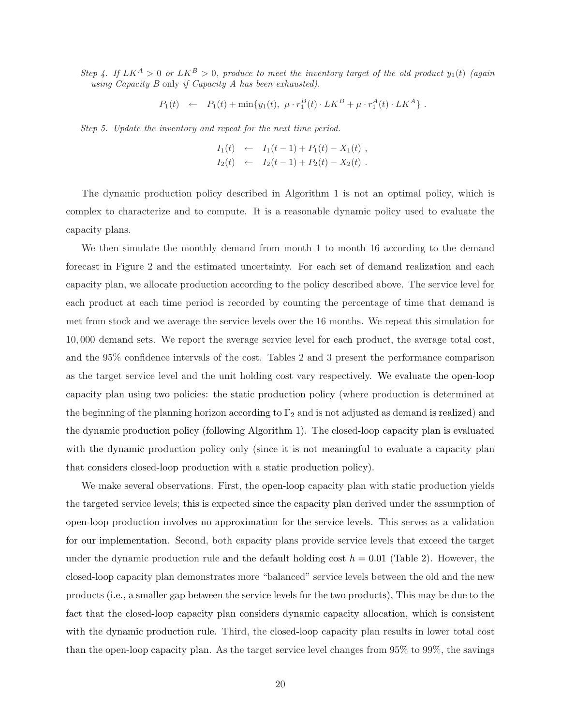Step 4. If  $LK^A > 0$  or  $LK^B > 0$ , produce to meet the inventory target of the old product  $y_1(t)$  (again using Capacity B only if Capacity A has been exhausted).

$$
P_1(t) \leftarrow P_1(t) + \min\{y_1(t), \ \mu \cdot r_1^B(t) \cdot LK^B + \mu \cdot r_1^A(t) \cdot LK^A\}.
$$

Step 5. Update the inventory and repeat for the next time period.

$$
I_1(t) \leftarrow I_1(t-1) + P_1(t) - X_1(t) ,
$$
  
\n
$$
I_2(t) \leftarrow I_2(t-1) + P_2(t) - X_2(t) .
$$

The dynamic production policy described in Algorithm 1 is not an optimal policy, which is complex to characterize and to compute. It is a reasonable dynamic policy used to evaluate the capacity plans.

We then simulate the monthly demand from month 1 to month 16 according to the demand forecast in Figure 2 and the estimated uncertainty. For each set of demand realization and each capacity plan, we allocate production according to the policy described above. The service level for each product at each time period is recorded by counting the percentage of time that demand is met from stock and we average the service levels over the 16 months. We repeat this simulation for 10, 000 demand sets. We report the average service level for each product, the average total cost, and the 95% confidence intervals of the cost. Tables 2 and 3 present the performance comparison as the target service level and the unit holding cost vary respectively. We evaluate the open-loop capacity plan using two policies: the static production policy (where production is determined at the beginning of the planning horizon according to  $\Gamma_2$  and is not adjusted as demand is realized) and the dynamic production policy (following Algorithm 1). The closed-loop capacity plan is evaluated with the dynamic production policy only (since it is not meaningful to evaluate a capacity plan that considers closed-loop production with a static production policy).

We make several observations. First, the open-loop capacity plan with static production yields the targeted service levels; this is expected since the capacity plan derived under the assumption of open-loop production involves no approximation for the service levels. This serves as a validation for our implementation. Second, both capacity plans provide service levels that exceed the target under the dynamic production rule and the default holding cost  $h = 0.01$  (Table 2). However, the closed-loop capacity plan demonstrates more "balanced" service levels between the old and the new products (i.e., a smaller gap between the service levels for the two products), This may be due to the fact that the closed-loop capacity plan considers dynamic capacity allocation, which is consistent with the dynamic production rule. Third, the closed-loop capacity plan results in lower total cost than the open-loop capacity plan. As the target service level changes from 95% to 99%, the savings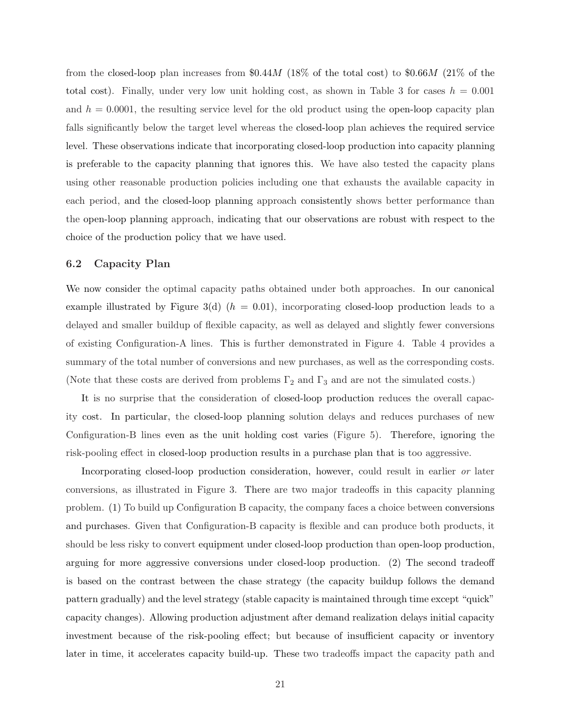from the closed-loop plan increases from \$0.44 $M$  (18% of the total cost) to \$0.66 $M$  (21% of the total cost). Finally, under very low unit holding cost, as shown in Table 3 for cases  $h = 0.001$ and  $h = 0.0001$ , the resulting service level for the old product using the open-loop capacity plan falls significantly below the target level whereas the closed-loop plan achieves the required service level. These observations indicate that incorporating closed-loop production into capacity planning is preferable to the capacity planning that ignores this. We have also tested the capacity plans using other reasonable production policies including one that exhausts the available capacity in each period, and the closed-loop planning approach consistently shows better performance than the open-loop planning approach, indicating that our observations are robust with respect to the choice of the production policy that we have used.

#### 6.2 Capacity Plan

We now consider the optimal capacity paths obtained under both approaches. In our canonical example illustrated by Figure 3(d)  $(h = 0.01)$ , incorporating closed-loop production leads to a delayed and smaller buildup of flexible capacity, as well as delayed and slightly fewer conversions of existing Configuration-A lines. This is further demonstrated in Figure 4. Table 4 provides a summary of the total number of conversions and new purchases, as well as the corresponding costs. (Note that these costs are derived from problems  $\Gamma_2$  and  $\Gamma_3$  and are not the simulated costs.)

It is no surprise that the consideration of closed-loop production reduces the overall capacity cost. In particular, the closed-loop planning solution delays and reduces purchases of new Configuration-B lines even as the unit holding cost varies (Figure 5). Therefore, ignoring the risk-pooling effect in closed-loop production results in a purchase plan that is too aggressive.

Incorporating closed-loop production consideration, however, could result in earlier or later conversions, as illustrated in Figure 3. There are two major tradeoffs in this capacity planning problem. (1) To build up Configuration B capacity, the company faces a choice between conversions and purchases. Given that Configuration-B capacity is flexible and can produce both products, it should be less risky to convert equipment under closed-loop production than open-loop production, arguing for more aggressive conversions under closed-loop production. (2) The second tradeoff is based on the contrast between the chase strategy (the capacity buildup follows the demand pattern gradually) and the level strategy (stable capacity is maintained through time except "quick" capacity changes). Allowing production adjustment after demand realization delays initial capacity investment because of the risk-pooling effect; but because of insufficient capacity or inventory later in time, it accelerates capacity build-up. These two tradeoffs impact the capacity path and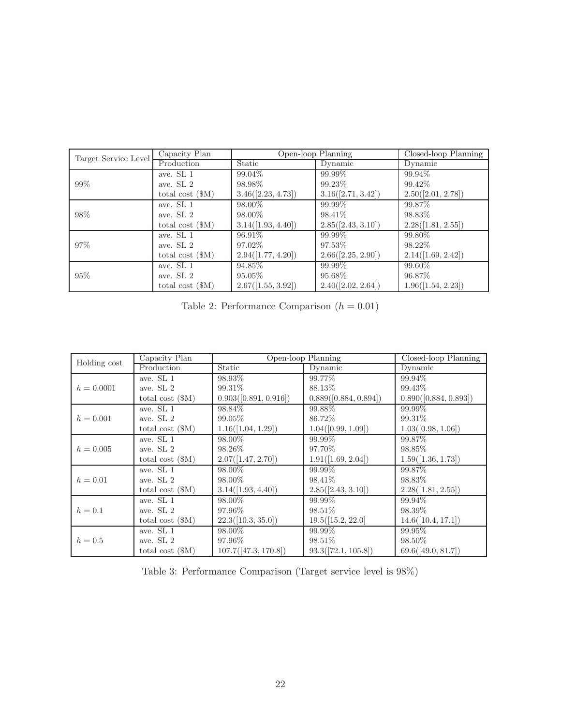| Target Service Level | Capacity Plan            | Open-loop Planning |                    | Closed-loop Planning |
|----------------------|--------------------------|--------------------|--------------------|----------------------|
|                      | Production               | Static             | Dynamic            | Dynamic              |
|                      | ave. SL 1                | 99.04%             | 99.99%             | 99.94%               |
| 99%                  | ave. $SL2$               | 98.98%             | 99.23%             | 99.42\%              |
|                      | total cost $(\text{SM})$ | 3.46([2.23, 4.73]) | 3.16([2.71, 3.42]) | 2.50([2.01, 2.78])   |
|                      | ave. SL 1                | 98.00%             | 99.99%             | 99.87%               |
| 98%                  | ave. SL 2                | 98.00%             | 98.41\%            | 98.83%               |
|                      | total cost $(\text{SM})$ | 3.14([1.93, 4.40]) | 2.85([2.43, 3.10]) | 2.28([1.81, 2.55])   |
|                      | ave. SL 1                | 96.91\%            | 99.99%             | 99.80\%              |
| 97%                  | ave. SL 2                | 97.02\%            | 97.53%             | 98.22\%              |
|                      | total cost $(\text{SM})$ | 2.94([1.77, 4.20]) | 2.66([2.25, 2.90]) | 2.14([1.69, 2.42])   |
|                      | ave. SL 1                | 94.85%             | 99.99%             | 99.60%               |
| 95%                  | ave. SL 2                | 95.05%             | 95.68%             | 96.87%               |
|                      | total cost $(\text{SM})$ | 2.67([1.55, 3.92]) | 2.40([2.02, 2.64]) | 1.96([1.54, 2.23])   |

Table 2: Performance Comparison  $(h=0.01)$ 

| Holding cost | Capacity Plan            | Open-loop Planning    |                       | Closed-loop Planning  |
|--------------|--------------------------|-----------------------|-----------------------|-----------------------|
|              | Production               | Static                | Dynamic               | Dynamic               |
|              | ave. SL 1                | 98.93%                | 99.77%                | 99.94%                |
| $h = 0.0001$ | ave. SL 2                | 99.31\%               | 88.13\%               | 99.43\%               |
|              | total cost $(\text{SM})$ | 0.903([0.891, 0.916]) | 0.889([0.884, 0.894]) | 0.890([0.884, 0.893]) |
|              | ave. SL 1                | 98.84\%               | 99.88%                | 99.99%                |
| $h = 0.001$  | ave. SL 2                | 99.05%                | 86.72\%               | 99.31\%               |
|              | total cost $(\text{SM})$ | 1.16([1.04, 1.29])    | 1.04([0.99, 1.09])    | 1.03([0.98, 1.06])    |
|              | ave. SL 1                | 98.00%                | 99.99%                | 99.87\%               |
| $h = 0.005$  | ave. SL 2                | 98.26\%               | 97.70%                | 98.85\%               |
|              | total cost $(\text{SM})$ | 2.07([1.47, 2.70])    | 1.91([1.69, 2.04])    | 1.59([1.36, 1.73])    |
|              | ave. SL 1                | 98.00%                | 99.99%                | 99.87%                |
| $h = 0.01$   | ave. SL 2                | 98.00%                | 98.41\%               | 98.83%                |
|              | total cost $(\text{SM})$ | 3.14([1.93, 4.40])    | 2.85([2.43, 3.10])    | 2.28([1.81, 2.55])    |
|              | ave. SL 1                | 98.00%                | 99.99%                | 99.94\%               |
| $h = 0.1$    | ave. SL 2                | 97.96%                | 98.51\%               | 98.39\%               |
|              | total cost $(\text{SM})$ | 22.3([10.3, 35.0])    | 19.5([15.2, 22.0]     | 14.6([10.4, 17.1])    |
|              | ave. SL 1                | 98.00%                | 99.99%                | 99.95\%               |
| $h=0.5$      | ave. SL 2                | 97.96%                | 98.51\%               | 98.50\%               |
|              | total cost $(\text{SM})$ | 107.7([47.3, 170.8])  | 93.3([72.1, 105.8])   | 69.6([49.0, 81.7])    |

Table 3: Performance Comparison (Target service level is 98%)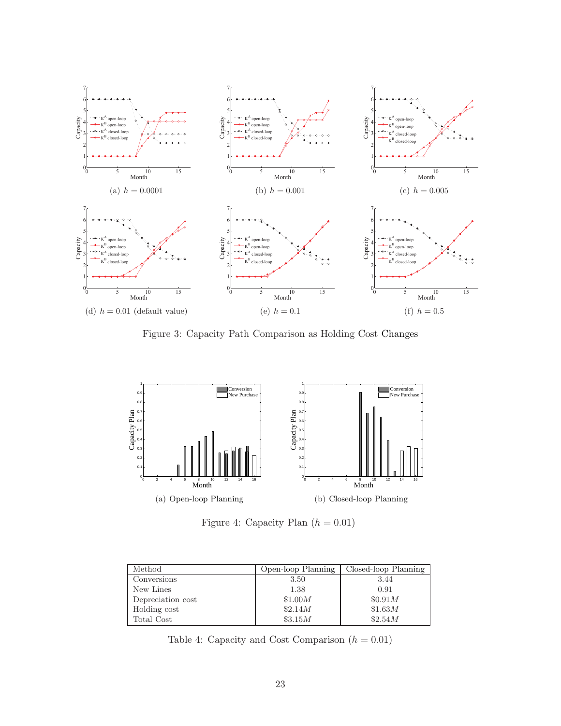

Figure 3: Capacity Path Comparison as Holding Cost Changes



Figure 4: Capacity Plan  $(h = 0.01)$ 

| Method            | Open-loop Planning | Closed-loop Planning |
|-------------------|--------------------|----------------------|
| Conversions       | 3.50               | 3.44                 |
| New Lines         | 1.38               | 0.91                 |
| Depreciation cost | \$1.00M            | \$0.91M              |
| Holding cost      | \$2.14M            | \$1.63M              |
| Total Cost        | \$3.15M            | \$2.54M              |

Table 4: Capacity and Cost Comparison  $(h = 0.01)$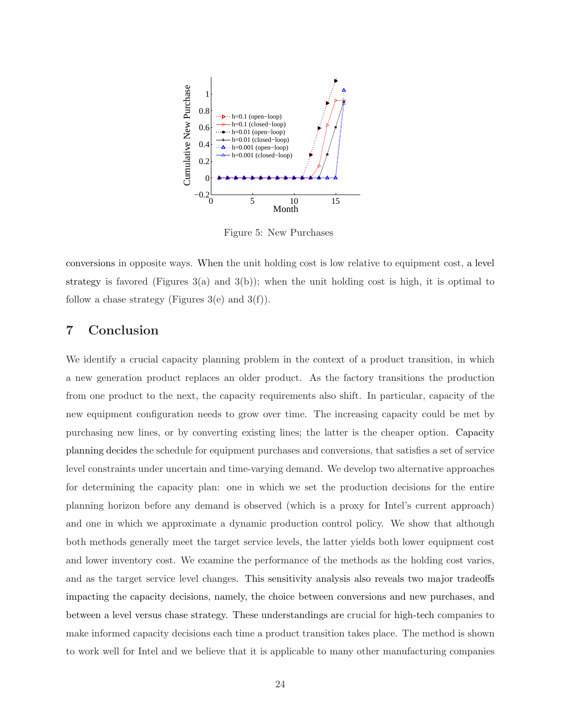

Figure 5: New Purchases

conversions in opposite ways. When the unit holding cost is low relative to equipment cost, a level strategy is favored (Figures  $3(a)$  and  $3(b)$ ); when the unit holding cost is high, it is optimal to follow a chase strategy (Figures  $3(e)$  and  $3(f)$ ).

# 7 Conclusion

We identify a crucial capacity planning problem in the context of a product transition, in which a new generation product replaces an older product. As the factory transitions the production from one product to the next, the capacity requirements also shift. In particular, capacity of the new equipment configuration needs to grow over time. The increasing capacity could be met by purchasing new lines, or by converting existing lines; the latter is the cheaper option. Capacity planning decides the schedule for equipment purchases and conversions, that satisfies a set of service level constraints under uncertain and time-varying demand. We develop two alternative approaches for determining the capacity plan: one in which we set the production decisions for the entire planning horizon before any demand is observed (which is a proxy for Intel's current approach) and one in which we approximate a dynamic production control policy. We show that although both methods generally meet the target service levels, the latter yields both lower equipment cost and lower inventory cost. We examine the performance of the methods as the holding cost varies, and as the target service level changes. This sensitivity analysis also reveals two major tradeoffs impacting the capacity decisions, namely, the choice between conversions and new purchases, and between a level versus chase strategy. These understandings are crucial for high-tech companies to make informed capacity decisions each time a product transition takes place. The method is shown to work well for Intel and we believe that it is applicable to many other manufacturing companies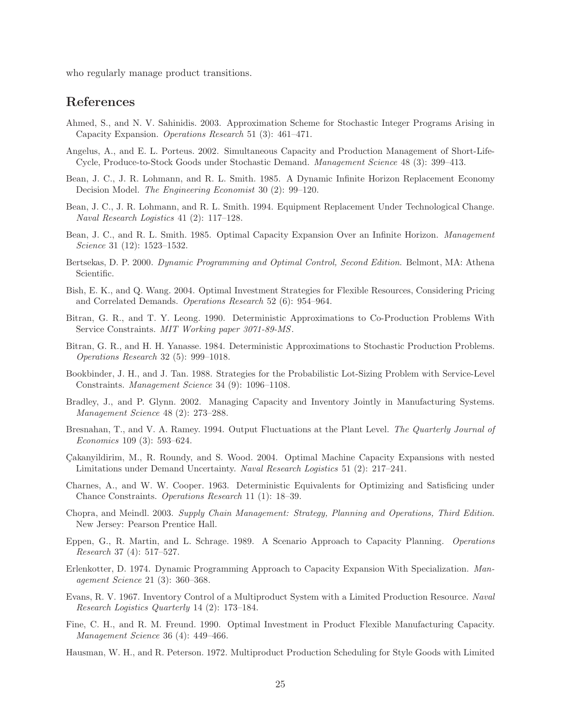who regularly manage product transitions.

### References

- Ahmed, S., and N. V. Sahinidis. 2003. Approximation Scheme for Stochastic Integer Programs Arising in Capacity Expansion. Operations Research 51 (3): 461–471.
- Angelus, A., and E. L. Porteus. 2002. Simultaneous Capacity and Production Management of Short-Life-Cycle, Produce-to-Stock Goods under Stochastic Demand. Management Science 48 (3): 399–413.
- Bean, J. C., J. R. Lohmann, and R. L. Smith. 1985. A Dynamic Infinite Horizon Replacement Economy Decision Model. The Engineering Economist 30 (2): 99–120.
- Bean, J. C., J. R. Lohmann, and R. L. Smith. 1994. Equipment Replacement Under Technological Change. Naval Research Logistics 41 (2): 117–128.
- Bean, J. C., and R. L. Smith. 1985. Optimal Capacity Expansion Over an Infinite Horizon. Management Science 31 (12): 1523–1532.
- Bertsekas, D. P. 2000. Dynamic Programming and Optimal Control, Second Edition. Belmont, MA: Athena Scientific.
- Bish, E. K., and Q. Wang. 2004. Optimal Investment Strategies for Flexible Resources, Considering Pricing and Correlated Demands. Operations Research 52 (6): 954–964.
- Bitran, G. R., and T. Y. Leong. 1990. Deterministic Approximations to Co-Production Problems With Service Constraints. MIT Working paper 3071-89-MS.
- Bitran, G. R., and H. H. Yanasse. 1984. Deterministic Approximations to Stochastic Production Problems. Operations Research 32 (5): 999–1018.
- Bookbinder, J. H., and J. Tan. 1988. Strategies for the Probabilistic Lot-Sizing Problem with Service-Level Constraints. Management Science 34 (9): 1096–1108.
- Bradley, J., and P. Glynn. 2002. Managing Capacity and Inventory Jointly in Manufacturing Systems. Management Science 48 (2): 273–288.
- Bresnahan, T., and V. A. Ramey. 1994. Output Fluctuations at the Plant Level. The Quarterly Journal of Economics 109 (3): 593–624.
- C¸ akanyildirim, M., R. Roundy, and S. Wood. 2004. Optimal Machine Capacity Expansions with nested Limitations under Demand Uncertainty. Naval Research Logistics 51 (2): 217–241.
- Charnes, A., and W. W. Cooper. 1963. Deterministic Equivalents for Optimizing and Satisficing under Chance Constraints. Operations Research 11 (1): 18–39.
- Chopra, and Meindl. 2003. Supply Chain Management: Strategy, Planning and Operations, Third Edition. New Jersey: Pearson Prentice Hall.
- Eppen, G., R. Martin, and L. Schrage. 1989. A Scenario Approach to Capacity Planning. Operations Research 37 (4): 517–527.
- Erlenkotter, D. 1974. Dynamic Programming Approach to Capacity Expansion With Specialization. Management Science 21 (3): 360–368.
- Evans, R. V. 1967. Inventory Control of a Multiproduct System with a Limited Production Resource. Naval Research Logistics Quarterly 14 (2): 173–184.
- Fine, C. H., and R. M. Freund. 1990. Optimal Investment in Product Flexible Manufacturing Capacity. Management Science 36 (4): 449–466.
- Hausman, W. H., and R. Peterson. 1972. Multiproduct Production Scheduling for Style Goods with Limited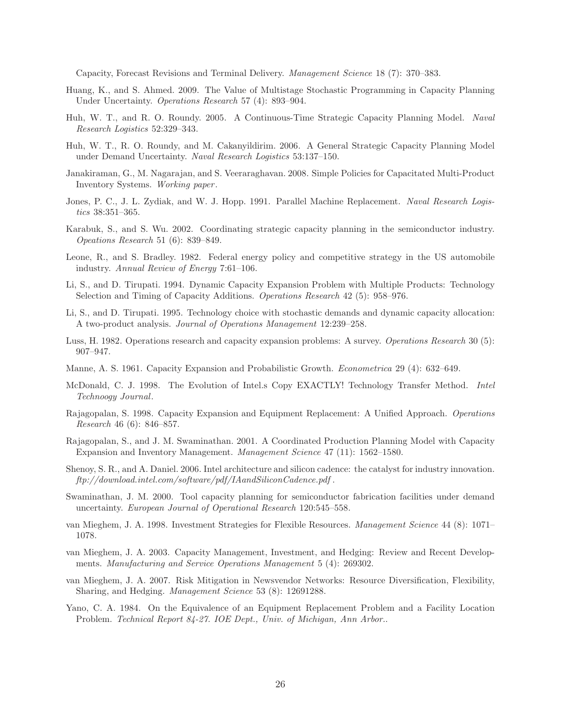Capacity, Forecast Revisions and Terminal Delivery. Management Science 18 (7): 370–383.

- Huang, K., and S. Ahmed. 2009. The Value of Multistage Stochastic Programming in Capacity Planning Under Uncertainty. Operations Research 57 (4): 893–904.
- Huh, W. T., and R. O. Roundy. 2005. A Continuous-Time Strategic Capacity Planning Model. Naval Research Logistics 52:329–343.
- Huh, W. T., R. O. Roundy, and M. Cakanyildirim. 2006. A General Strategic Capacity Planning Model under Demand Uncertainty. Naval Research Logistics 53:137–150.
- Janakiraman, G., M. Nagarajan, and S. Veeraraghavan. 2008. Simple Policies for Capacitated Multi-Product Inventory Systems. Working paper .
- Jones, P. C., J. L. Zydiak, and W. J. Hopp. 1991. Parallel Machine Replacement. Naval Research Logistics 38:351–365.
- Karabuk, S., and S. Wu. 2002. Coordinating strategic capacity planning in the semiconductor industry. Opeations Research 51 (6): 839–849.
- Leone, R., and S. Bradley. 1982. Federal energy policy and competitive strategy in the US automobile industry. Annual Review of Energy 7:61–106.
- Li, S., and D. Tirupati. 1994. Dynamic Capacity Expansion Problem with Multiple Products: Technology Selection and Timing of Capacity Additions. Operations Research 42 (5): 958–976.
- Li, S., and D. Tirupati. 1995. Technology choice with stochastic demands and dynamic capacity allocation: A two-product analysis. Journal of Operations Management 12:239–258.
- Luss, H. 1982. Operations research and capacity expansion problems: A survey. Operations Research 30 (5): 907–947.
- Manne, A. S. 1961. Capacity Expansion and Probabilistic Growth. Econometrica 29 (4): 632–649.
- McDonald, C. J. 1998. The Evolution of Intel.s Copy EXACTLY! Technology Transfer Method. Intel Technoogy Journal.
- Rajagopalan, S. 1998. Capacity Expansion and Equipment Replacement: A Unified Approach. Operations Research 46 (6): 846–857.
- Rajagopalan, S., and J. M. Swaminathan. 2001. A Coordinated Production Planning Model with Capacity Expansion and Inventory Management. Management Science 47 (11): 1562–1580.
- Shenoy, S. R., and A. Daniel. 2006. Intel architecture and silicon cadence: the catalyst for industry innovation. ftp://download.intel.com/software/pdf/IAandSiliconCadence.pdf .
- Swaminathan, J. M. 2000. Tool capacity planning for semiconductor fabrication facilities under demand uncertainty. European Journal of Operational Research 120:545–558.
- van Mieghem, J. A. 1998. Investment Strategies for Flexible Resources. Management Science 44 (8): 1071– 1078.
- van Mieghem, J. A. 2003. Capacity Management, Investment, and Hedging: Review and Recent Developments. Manufacturing and Service Operations Management 5 (4): 269302.
- van Mieghem, J. A. 2007. Risk Mitigation in Newsvendor Networks: Resource Diversification, Flexibility, Sharing, and Hedging. Management Science 53 (8): 12691288.
- Yano, C. A. 1984. On the Equivalence of an Equipment Replacement Problem and a Facility Location Problem. Technical Report 84-27. IOE Dept., Univ. of Michigan, Ann Arbor..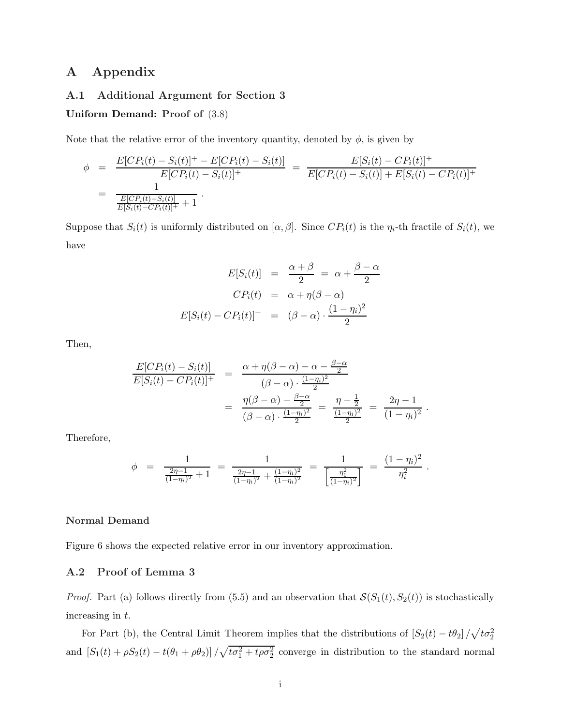# A Appendix

#### A.1 Additional Argument for Section 3

#### Uniform Demand: Proof of (3.8)

Note that the relative error of the inventory quantity, denoted by  $\phi$ , is given by

$$
\phi = \frac{E[CP_i(t) - S_i(t)]^+ - E[CP_i(t) - S_i(t)]}{E[CP_i(t) - S_i(t)]^+} = \frac{E[S_i(t) - CP_i(t)]^+}{E[CP_i(t) - S_i(t)] + E[S_i(t) - CP_i(t)]^+}
$$
\n
$$
= \frac{1}{\frac{E[CP_i(t) - S_i(t)]}{E[S_i(t) - CP_i(t)]^+} + 1}.
$$

Suppose that  $S_i(t)$  is uniformly distributed on  $[\alpha, \beta]$ . Since  $CP_i(t)$  is the  $\eta_i$ -th fractile of  $S_i(t)$ , we have

$$
E[S_i(t)] = \frac{\alpha + \beta}{2} = \alpha + \frac{\beta - \alpha}{2}
$$

$$
CP_i(t) = \alpha + \eta(\beta - \alpha)
$$

$$
E[S_i(t) - CP_i(t)]^+ = (\beta - \alpha) \cdot \frac{(1 - \eta_i)^2}{2}
$$

Then,

$$
\frac{E[CP_i(t) - S_i(t)]}{E[S_i(t) - CP_i(t)]^+} = \frac{\alpha + \eta(\beta - \alpha) - \alpha - \frac{\beta - \alpha}{2}}{(\beta - \alpha) \cdot \frac{(1 - \eta_i)^2}{2}}
$$
\n
$$
= \frac{\eta(\beta - \alpha) - \frac{\beta - \alpha}{2}}{(\beta - \alpha) \cdot \frac{(1 - \eta_i)^2}{2}} = \frac{\eta - \frac{1}{2}}{\frac{(1 - \eta_i)^2}{2}} = \frac{2\eta - 1}{(1 - \eta_i)^2}.
$$

Therefore,

$$
\phi = \frac{1}{\frac{2\eta - 1}{(1 - \eta_i)^2} + 1} = \frac{1}{\frac{2\eta - 1}{(1 - \eta_i)^2} + \frac{(1 - \eta_i)^2}{(1 - \eta_i)^2}} = \frac{1}{\left[\frac{\eta_1^2}{(1 - \eta_i)^2}\right]} = \frac{(1 - \eta_i)^2}{\eta_i^2}.
$$

#### Normal Demand

Figure 6 shows the expected relative error in our inventory approximation.

### A.2 Proof of Lemma 3

*Proof.* Part (a) follows directly from (5.5) and an observation that  $S(S_1(t), S_2(t))$  is stochastically increasing in t.

For Part (b), the Central Limit Theorem implies that the distributions of  $[S_2(t) - t\theta_2]/\sqrt{t\sigma_2^2}$ and  $[S_1(t) + \rho S_2(t) - t(\theta_1 + \rho \theta_2)] / \sqrt{t\sigma_1^2 + t\rho \sigma_2^2}$  converge in distribution to the standard normal